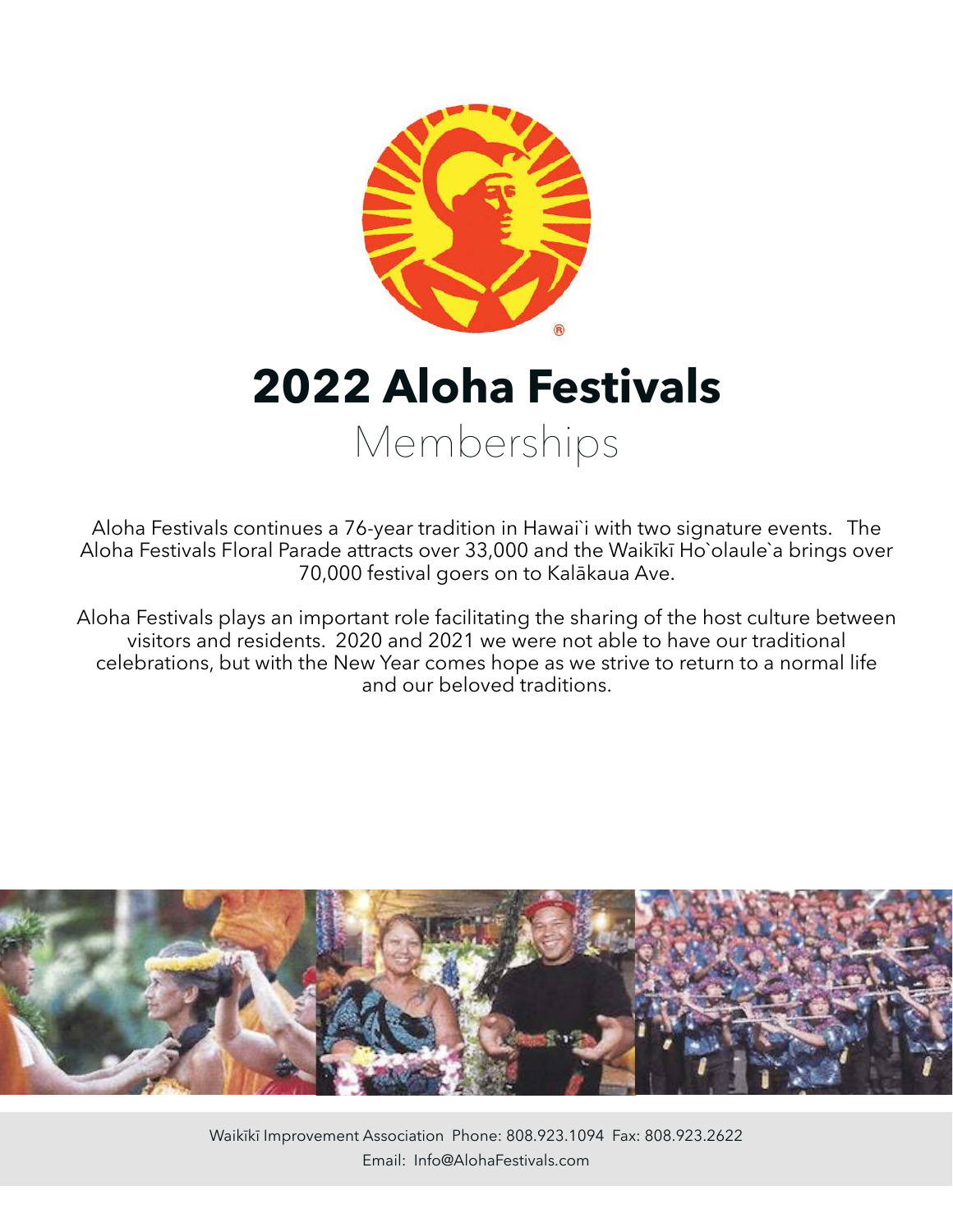

**2022 Aloha Festivals**  Memberships

Aloha Festivals continues a 76-year tradition in Hawai`i with two signature events. The Aloha Festivals Floral Parade attracts over 33,000 and the Waikīkī Ho`olaule`a brings over 70,000 festival goers on to Kalākaua Ave.

Aloha Festivals plays an important role facilitating the sharing of the host culture between visitors and residents. 2020 and 2021 we were not able to have our traditional celebrations, but with the New Year comes hope as we strive to return to a normal life and our beloved traditions.



Waikīkī Improvement Association Phone: 808.923.1094 Fax: 808.923.2622 Email: Info@AlohaFestivals.com